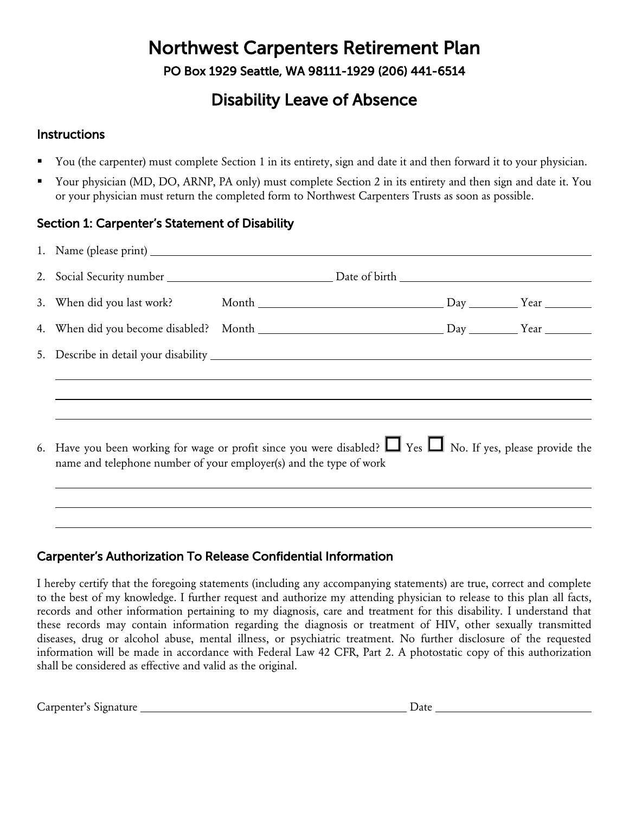# Northwest Carpenters Retirement Plan

PO Box 1929 Seattle, WA 98111-1929 (206) 441-6514

## Disability Leave of Absence

### **Instructions**

- You (the carpenter) must complete Section 1 in its entirety, sign and date it and then forward it to your physician.
- Your physician (MD, DO, ARNP, PA only) must complete Section 2 in its entirety and then sign and date it. You or your physician must return the completed form to Northwest Carpenters Trusts as soon as possible.

## Section 1: Carpenter's Statement of Disability

| 6. Have you been working for wage or profit since you were disabled? $\Box$ Yes $\Box$ No. If yes, please provide the<br>name and telephone number of your employer(s) and the type of work |  |  |  |  |  |
|---------------------------------------------------------------------------------------------------------------------------------------------------------------------------------------------|--|--|--|--|--|
|                                                                                                                                                                                             |  |  |  |  |  |

## Carpenter's Authorization To Release Confidential Information

I hereby certify that the foregoing statements (including any accompanying statements) are true, correct and complete to the best of my knowledge. I further request and authorize my attending physician to release to this plan all facts, records and other information pertaining to my diagnosis, care and treatment for this disability. I understand that these records may contain information regarding the diagnosis or treatment of HIV, other sexually transmitted diseases, drug or alcohol abuse, mental illness, or psychiatric treatment. No further disclosure of the requested information will be made in accordance with Federal Law 42 CFR, Part 2. A photostatic copy of this authorization shall be considered as effective and valid as the original.

Carpenter's Signature Date Date